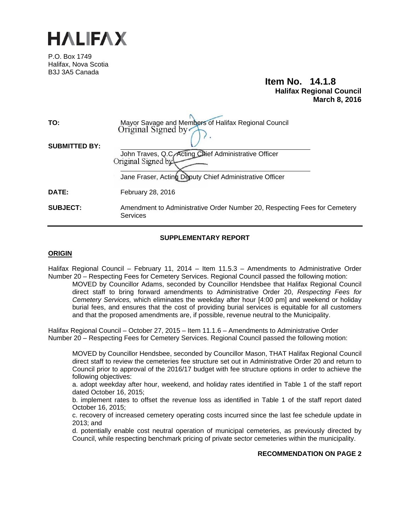

P.O. Box 1749 Halifax, Nova Scotia B3J 3A5 Canada

## **Item No. 14.1.8 Halifax Regional Council March 8, 2016**

| TO:                  | Mayor Savage and Members of Halifax Regional Council<br>Original Signed by                   |
|----------------------|----------------------------------------------------------------------------------------------|
| <b>SUBMITTED BY:</b> | John Traves, Q.C. Acting Chief Administrative Officer<br>Original Signed by                  |
|                      | Jane Fraser, Acting Deputy Chief Administrative Officer                                      |
| <b>DATE:</b>         | February 28, 2016                                                                            |
| <b>SUBJECT:</b>      | Amendment to Administrative Order Number 20, Respecting Fees for Cemetery<br><b>Services</b> |

#### **SUPPLEMENTARY REPORT**

#### **ORIGIN**

Halifax Regional Council – February 11, 2014 – Item 11.5.3 – Amendments to Administrative Order Number 20 – Respecting Fees for Cemetery Services. Regional Council passed the following motion:

MOVED by Councillor Adams, seconded by Councillor Hendsbee that Halifax Regional Council direct staff to bring forward amendments to Administrative Order 20, *Respecting Fees for Cemetery Services,* which eliminates the weekday after hour [4:00 pm] and weekend or holiday burial fees, and ensures that the cost of providing burial services is equitable for all customers and that the proposed amendments are, if possible, revenue neutral to the Municipality.

Halifax Regional Council – October 27, 2015 – Item 11.1.6 – Amendments to Administrative Order Number 20 – Respecting Fees for Cemetery Services. Regional Council passed the following motion:

MOVED by Councillor Hendsbee, seconded by Councillor Mason, THAT Halifax Regional Council direct staff to review the cemeteries fee structure set out in Administrative Order 20 and return to Council prior to approval of the 2016/17 budget with fee structure options in order to achieve the following objectives:

a. adopt weekday after hour, weekend, and holiday rates identified in Table 1 of the staff report dated October 16, 2015;

b. implement rates to offset the revenue loss as identified in Table 1 of the staff report dated October 16, 2015;

c. recovery of increased cemetery operating costs incurred since the last fee schedule update in 2013; and

d. potentially enable cost neutral operation of municipal cemeteries, as previously directed by Council, while respecting benchmark pricing of private sector cemeteries within the municipality.

#### **RECOMMENDATION ON PAGE 2**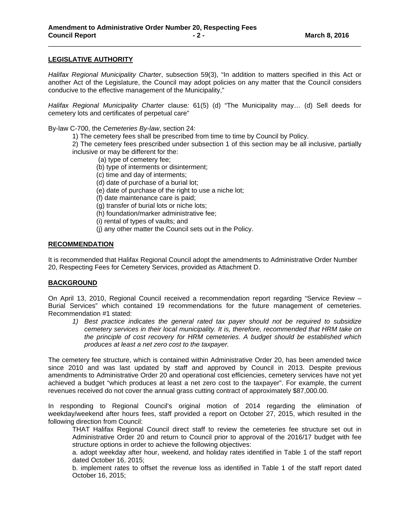#### **LEGISLATIVE AUTHORITY**

*Halifax Regional Municipality Charter*, subsection 59(3), "In addition to matters specified in this Act or another Act of the Legislature, the Council may adopt policies on any matter that the Council considers conducive to the effective management of the Municipality,"

\_\_\_\_\_\_\_\_\_\_\_\_\_\_\_\_\_\_\_\_\_\_\_\_\_\_\_\_\_\_\_\_\_\_\_\_\_\_\_\_\_\_\_\_\_\_\_\_\_\_\_\_\_\_\_\_\_\_\_\_\_\_\_\_\_\_\_\_\_\_\_\_\_\_\_\_\_\_\_\_\_\_\_\_

*Halifax Regional Municipality Charter* clause*:* 61(5) (d) "The Municipality may… (d) Sell deeds for cemetery lots and certificates of perpetual care"

By-law C-700, the *Cemeteries By-law*, section 24:

1) The cemetery fees shall be prescribed from time to time by Council by Policy.

2) The cemetery fees prescribed under subsection 1 of this section may be all inclusive, partially inclusive or may be different for the:

- (a) type of cemetery fee;
- (b) type of interments or disinterment;
- (c) time and day of interments;
- (d) date of purchase of a burial lot;
- (e) date of purchase of the right to use a niche lot;
- (f) date maintenance care is paid;
- (g) transfer of burial lots or niche lots;
- (h) foundation/marker administrative fee;
- (i) rental of types of vaults; and
- (j) any other matter the Council sets out in the Policy.

#### **RECOMMENDATION**

It is recommended that Halifax Regional Council adopt the amendments to Administrative Order Number 20, Respecting Fees for Cemetery Services, provided as Attachment D.

#### **BACKGROUND**

On April 13, 2010, Regional Council received a recommendation report regarding "Service Review – Burial Services" which contained 19 recommendations for the future management of cemeteries. Recommendation #1 stated:

*1) Best practice indicates the general rated tax payer should not be required to subsidize cemetery services in their local municipality. It is, therefore, recommended that HRM take on the principle of cost recovery for HRM cemeteries. A budget should be established which produces at least a net zero cost to the taxpayer.* 

The cemetery fee structure, which is contained within Administrative Order 20, has been amended twice since 2010 and was last updated by staff and approved by Council in 2013. Despite previous amendments to Administrative Order 20 and operational cost efficiencies, cemetery services have not yet achieved a budget "which produces at least a net zero cost to the taxpayer". For example, the current revenues received do not cover the annual grass cutting contract of approximately \$87,000.00.

In responding to Regional Council's original motion of 2014 regarding the elimination of weekday/weekend after hours fees, staff provided a report on October 27, 2015, which resulted in the following direction from Council:

THAT Halifax Regional Council direct staff to review the cemeteries fee structure set out in Administrative Order 20 and return to Council prior to approval of the 2016/17 budget with fee structure options in order to achieve the following objectives:

a. adopt weekday after hour, weekend, and holiday rates identified in Table 1 of the staff report dated October 16, 2015;

b. implement rates to offset the revenue loss as identified in Table 1 of the staff report dated October 16, 2015;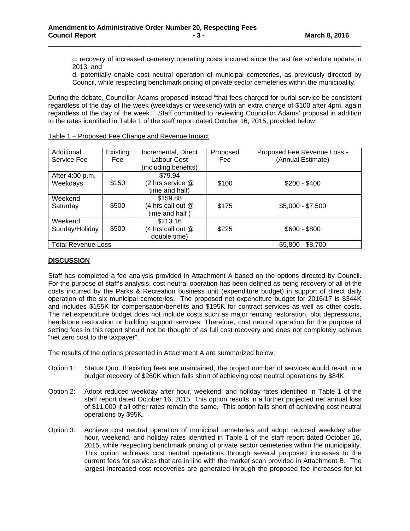c. recovery of increased cemetery operating costs incurred since the last fee schedule update in 2013; and

d. potentially enable cost neutral operation of municipal cemeteries, as previously directed by Council, while respecting benchmark pricing of private sector cemeteries within the municipality.

During the debate, Councillor Adams proposed instead "that fees charged for burial service be consistent regardless of the day of the week (weekdays or weekend) with an extra charge of \$100 after 4pm, again regardless of the day of the week." Staff committed to reviewing Councillor Adams' proposal in addition to the rates identified in Table 1 of the staff report dated October 16, 2015, provided below:

\_\_\_\_\_\_\_\_\_\_\_\_\_\_\_\_\_\_\_\_\_\_\_\_\_\_\_\_\_\_\_\_\_\_\_\_\_\_\_\_\_\_\_\_\_\_\_\_\_\_\_\_\_\_\_\_\_\_\_\_\_\_\_\_\_\_\_\_\_\_\_\_\_\_\_\_\_\_\_\_\_\_\_\_

| Additional                | Existing | Incremental, Direct  | Proposed | Proposed Fee Revenue Loss - |
|---------------------------|----------|----------------------|----------|-----------------------------|
| Service Fee               | Fee      | Labour Cost          | Fee      | (Annual Estimate)           |
|                           |          | (including benefits) |          |                             |
| After 4:00 p.m.           |          | \$79.94              |          |                             |
| Weekdays                  | \$150    | (2 hrs service @     | \$100    | $$200 - $400$               |
|                           |          | time and half)       |          |                             |
| Weekend                   |          | \$159.88             |          |                             |
| Saturday                  | \$500    | (4 hrs call out @    | \$175    | $$5,000 - $7,500$           |
|                           |          | time and half)       |          |                             |
| Weekend                   |          | \$213.16             |          |                             |
| Sunday/Holiday            | \$500    | (4 hrs call out @    | \$225    | $$600 - $800$               |
|                           |          | double time)         |          |                             |
| <b>Total Revenue Loss</b> |          |                      |          | $$5,800 - $8,700$           |

| Table 1 – Proposed Fee Change and Revenue Impact |  |  |
|--------------------------------------------------|--|--|
|                                                  |  |  |

#### **DISCUSSION**

Staff has completed a fee analysis provided in Attachment A based on the options directed by Council. For the purpose of staff's analysis, cost neutral operation has been defined as being recovery of all of the costs incurred by the Parks & Recreation business unit (expenditure budget) in support of direct daily operation of the six municipal cemeteries. The proposed net expenditure budget for 2016/17 is \$344K and includes \$155K for compensation/benefits and \$195K for contract services as well as other costs. The net expenditure budget does not include costs such as major fencing restoration, plot depressions, headstone restoration or building support services. Therefore, cost neutral operation for the purpose of setting fees in this report should not be thought of as full cost recovery and does not completely achieve "net zero cost to the taxpayer".

The results of the options presented in Attachment A are summarized below:

- Option 1: Status Quo. If existing fees are maintained, the project number of services would result in a budget recovery of \$260K which falls short of achieving cost neutral operations by \$84K.
- Option 2: Adopt reduced weekday after hour, weekend, and holiday rates identified in Table 1 of the staff report dated October 16, 2015. This option results in a further projected net annual loss of \$11,000 if all other rates remain the same. This option falls short of achieving cost neutral operations by \$95K.
- Option 3: Achieve cost neutral operation of municipal cemeteries and adopt reduced weekday after hour, weekend, and holiday rates identified in Table 1 of the staff report dated October 16, 2015, while respecting benchmark pricing of private sector cemeteries within the municipality. This option achieves cost neutral operations through several proposed increases to the current fees for services that are in line with the market scan provided in Attachment B. The largest increased cost recoveries are generated through the proposed fee increases for lot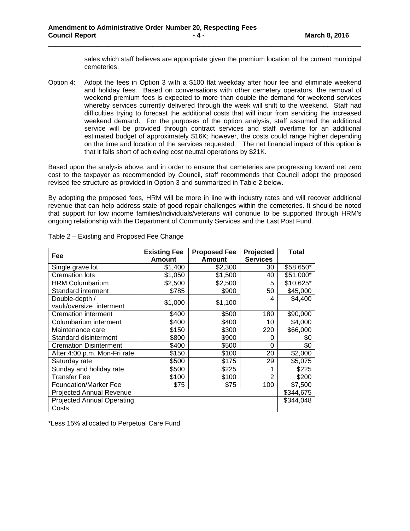sales which staff believes are appropriate given the premium location of the current municipal cemeteries.

Option 4: Adopt the fees in Option 3 with a \$100 flat weekday after hour fee and eliminate weekend and holiday fees. Based on conversations with other cemetery operators, the removal of weekend premium fees is expected to more than double the demand for weekend services whereby services currently delivered through the week will shift to the weekend. Staff had difficulties trying to forecast the additional costs that will incur from servicing the increased weekend demand. For the purposes of the option analysis, staff assumed the additional service will be provided through contract services and staff overtime for an additional estimated budget of approximately \$16K; however, the costs could range higher depending on the time and location of the services requested. The net financial impact of this option is that it falls short of achieving cost neutral operations by \$21K.

\_\_\_\_\_\_\_\_\_\_\_\_\_\_\_\_\_\_\_\_\_\_\_\_\_\_\_\_\_\_\_\_\_\_\_\_\_\_\_\_\_\_\_\_\_\_\_\_\_\_\_\_\_\_\_\_\_\_\_\_\_\_\_\_\_\_\_\_\_\_\_\_\_\_\_\_\_\_\_\_\_\_\_\_

Based upon the analysis above, and in order to ensure that cemeteries are progressing toward net zero cost to the taxpayer as recommended by Council, staff recommends that Council adopt the proposed revised fee structure as provided in Option 3 and summarized in Table 2 below.

By adopting the proposed fees, HRM will be more in line with industry rates and will recover additional revenue that can help address state of good repair challenges within the cemeteries. It should be noted that support for low income families/individuals/veterans will continue to be supported through HRM's ongoing relationship with the Department of Community Services and the Last Post Fund.

| Fee                               | <b>Existing Fee</b> | <b>Proposed Fee</b> | Projected       | <b>Total</b> |
|-----------------------------------|---------------------|---------------------|-----------------|--------------|
|                                   | <b>Amount</b>       | <b>Amount</b>       | <b>Services</b> |              |
| Single grave lot                  | \$1,400             | \$2,300             | 30              | \$58,650*    |
| <b>Cremation lots</b>             | \$1,050             | \$1,500             | 40              | \$51,000*    |
| <b>HRM Columbarium</b>            | \$2,500             | \$2,500             | 5               | \$10,625*    |
| Standard interment                | \$785               | \$900               | 50              | \$45,000     |
| Double-depth /                    | \$1,000             | \$1,100             | 4               | \$4,400      |
| vault/oversize interment          |                     |                     |                 |              |
| Cremation interment               | \$400               | \$500               | 180             | \$90,000     |
| Columbarium interment             | \$400               | \$400               | 10              | \$4,000      |
| Maintenance care                  | \$150               | \$300               | 220             | \$66,000     |
| Standard disinterment             | \$800               | \$900               | 0               | \$0          |
| <b>Cremation Disinterment</b>     | \$400               | \$500               | $\Omega$        | \$0          |
| After 4:00 p.m. Mon-Fri rate      | \$150               | \$100               | 20              | \$2,000      |
| Saturday rate                     | \$500               | \$175               | 29              | \$5,075      |
| Sunday and holiday rate           | \$500               | \$225               |                 | \$225        |
| <b>Transfer Fee</b>               | \$100               | \$100               | $\overline{2}$  | \$200        |
| <b>Foundation/Marker Fee</b>      | \$75                | \$75                | 100             | \$7,500      |
| <b>Projected Annual Revenue</b>   |                     |                     |                 | \$344,675    |
| <b>Projected Annual Operating</b> |                     |                     |                 | \$344,048    |
| Costs                             |                     |                     |                 |              |

#### Table 2 – Existing and Proposed Fee Change

\*Less 15% allocated to Perpetual Care Fund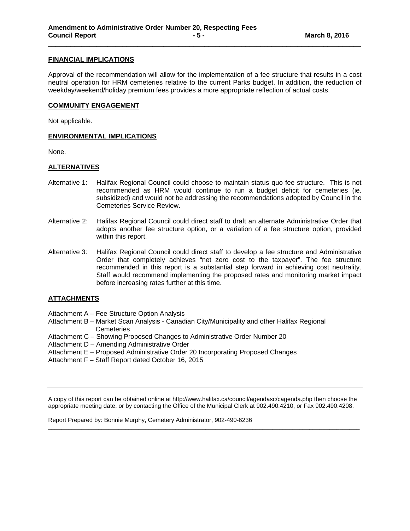#### **FINANCIAL IMPLICATIONS**

Approval of the recommendation will allow for the implementation of a fee structure that results in a cost neutral operation for HRM cemeteries relative to the current Parks budget. In addition, the reduction of weekday/weekend/holiday premium fees provides a more appropriate reflection of actual costs.

\_\_\_\_\_\_\_\_\_\_\_\_\_\_\_\_\_\_\_\_\_\_\_\_\_\_\_\_\_\_\_\_\_\_\_\_\_\_\_\_\_\_\_\_\_\_\_\_\_\_\_\_\_\_\_\_\_\_\_\_\_\_\_\_\_\_\_\_\_\_\_\_\_\_\_\_\_\_\_\_\_\_\_\_

#### **COMMUNITY ENGAGEMENT**

Not applicable.

#### **ENVIRONMENTAL IMPLICATIONS**

None.

#### **ALTERNATIVES**

- Alternative 1: Halifax Regional Council could choose to maintain status quo fee structure. This is not recommended as HRM would continue to run a budget deficit for cemeteries (ie. subsidized) and would not be addressing the recommendations adopted by Council in the Cemeteries Service Review.
- Alternative 2: Halifax Regional Council could direct staff to draft an alternate Administrative Order that adopts another fee structure option, or a variation of a fee structure option, provided within this report.
- Alternative 3: Halifax Regional Council could direct staff to develop a fee structure and Administrative Order that completely achieves "net zero cost to the taxpayer". The fee structure recommended in this report is a substantial step forward in achieving cost neutrality. Staff would recommend implementing the proposed rates and monitoring market impact before increasing rates further at this time.

#### **ATTACHMENTS**

- Attachment A Fee Structure Option Analysis
- Attachment B Market Scan Analysis Canadian City/Municipality and other Halifax Regional **Cemeteries**
- Attachment C Showing Proposed Changes to Administrative Order Number 20
- Attachment D Amending Administrative Order
- Attachment E Proposed Administrative Order 20 Incorporating Proposed Changes
- Attachment F Staff Report dated October 16, 2015

A copy of this report can be obtained online at http://www.halifax.ca/council/agendasc/cagenda.php then choose the appropriate meeting date, or by contacting the Office of the Municipal Clerk at 902.490.4210, or Fax 902.490.4208.

 $\overline{a}$  , and the state of the state of the state of the state of the state of the state of the state of the state of the state of the state of the state of the state of the state of the state of the state of the state o

Report Prepared by: Bonnie Murphy, Cemetery Administrator, 902-490-6236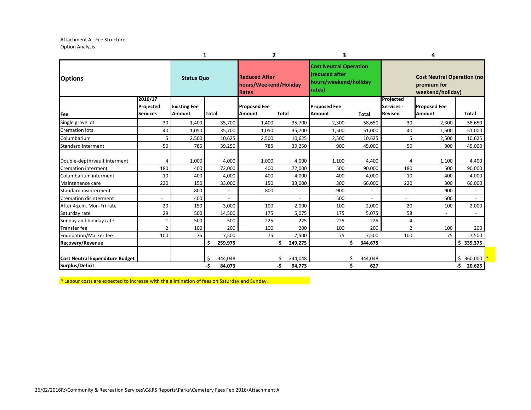Attachment A - Fee Structure Option Analysis

|                                                           |                                         |                                      | 1                        | 2                                                             |                                | 3                                                                                         |                           |                                           | 4                                                                    |                                |
|-----------------------------------------------------------|-----------------------------------------|--------------------------------------|--------------------------|---------------------------------------------------------------|--------------------------------|-------------------------------------------------------------------------------------------|---------------------------|-------------------------------------------|----------------------------------------------------------------------|--------------------------------|
| <b>Options</b>                                            |                                         | <b>Status Quo</b>                    |                          | <b>Reduced After</b><br>hours/Weekend/Holiday<br><b>Rates</b> |                                | <b>Cost Neutral Operation</b><br><b>(reduced after</b><br>hours/weekend/holiday<br>rates) |                           |                                           | <b>Cost Neutral Operation (no</b><br>premium for<br>weekend/holiday) |                                |
| Fee                                                       | 2016/17<br>Projected<br><b>Services</b> | <b>Existing Fee</b><br><b>Amount</b> | Total                    | <b>Proposed Fee</b><br>Amount                                 | <b>Total</b>                   | <b>Proposed Fee</b><br><b>Amount</b>                                                      | <b>Total</b>              | Projected<br>Services -<br><b>Revised</b> | <b>Proposed Fee</b><br><b>Amount</b>                                 | <b>Total</b>                   |
| Single grave lot                                          | 30                                      | 1,400                                | 35,700                   | 1,400                                                         | 35,700                         | 2,300                                                                                     | 58,650                    | 30                                        | 2,300                                                                | 58,650                         |
| <b>Cremation lots</b>                                     | 40                                      | 1,050                                | 35,700                   | 1,050                                                         | 35,700                         | 1,500                                                                                     | 51,000                    | 40                                        | 1,500                                                                | 51,000                         |
| Columbarium                                               | 5                                       | 2,500                                | 10,625                   | 2,500                                                         | 10,625                         | 2,500                                                                                     | 10,625                    | 5                                         | 2,500                                                                | 10,625                         |
| Standard interment                                        | 50                                      | 785                                  | 39,250                   | 785                                                           | 39,250                         | 900                                                                                       | 45,000                    | 50                                        | 900                                                                  | 45,000                         |
| Double-depth/vault interment                              | 4                                       | 1,000                                | 4,000                    | 1,000                                                         | 4,000                          | 1,100                                                                                     | 4,400                     | 4                                         | 1,100                                                                | 4,400                          |
| <b>Cremation interment</b>                                | 180                                     | 400                                  | 72,000                   | 400                                                           | 72,000                         | 500                                                                                       | 90,000                    | 180                                       | 500                                                                  | 90,000                         |
| Columbarium interment                                     | 10                                      | 400                                  | 4,000                    | 400                                                           | 4,000                          | 400                                                                                       | 4,000                     | 10                                        | 400                                                                  | 4,000                          |
| Maintenance care                                          | 220                                     | 150                                  | 33,000                   | 150                                                           | 33,000                         | 300                                                                                       | 66,000                    | 220                                       | 300                                                                  | 66,000                         |
| <b>Standard disinterment</b>                              | $\overline{\phantom{a}}$                | 800                                  |                          | 800                                                           |                                | 900                                                                                       |                           | $\overline{\phantom{a}}$                  | 900                                                                  |                                |
| <b>Cremation disinterment</b>                             | $\overline{\phantom{a}}$                | 400                                  | $\overline{\phantom{a}}$ |                                                               |                                | 500                                                                                       |                           | $\overline{\phantom{a}}$                  | 500                                                                  |                                |
| After 4:p.m. Mon-Fri rate                                 | 20                                      | 150                                  | 3,000                    | 100                                                           | 2,000                          | 100                                                                                       | 2,000                     | 20                                        | 100                                                                  | 2,000                          |
| Saturday rate                                             | 29                                      | 500                                  | 14,500                   | 175                                                           | 5,075                          | 175                                                                                       | 5,075                     | 58                                        | $\overline{\phantom{a}}$                                             |                                |
| Sunday and holiday rate                                   | $\mathbf{1}$                            | 500                                  | 500                      | 225                                                           | 225                            | 225                                                                                       | 225                       | 4                                         |                                                                      |                                |
| <b>Transfer fee</b>                                       | $\mathcal{P}$                           | 100                                  | 200                      | 100                                                           | 200                            | 100                                                                                       | 200                       | $\overline{2}$                            | 100                                                                  | 200                            |
| Foundation/Marker fee                                     | 100                                     | 75                                   | 7,500                    | 75                                                            | 7,500                          | 75                                                                                        | 7,500                     | 100                                       | 75                                                                   | 7,500                          |
| <b>Recovery/Revenue</b>                                   |                                         |                                      | Ś.<br>259,975            |                                                               | \$<br>249,275                  |                                                                                           | \$<br>344,675             |                                           |                                                                      | \$339,375                      |
| <b>Cost Neutral Expenditure Budget</b><br>Surplus/Deficit |                                         |                                      | 344,048<br>-\$<br>84,073 |                                                               | Ś.<br>344,048<br>-\$<br>94,773 |                                                                                           | 344,048<br>Ś<br>Ś.<br>627 |                                           |                                                                      | \$<br>360,000<br>-\$<br>20,625 |

\* Labour costs are expected to increase with the elimination of fees on Saturday and Sunday.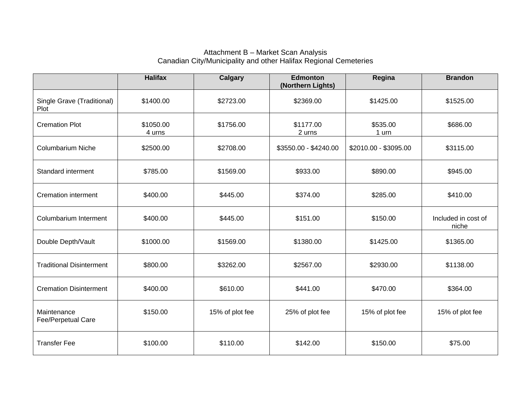## Attachment B – Market Scan Analysis Canadian City/Municipality and other Halifax Regional Cemeteries

|                                    | <b>Halifax</b>      | <b>Calgary</b>  | Edmonton<br>(Northern Lights) | Regina                | <b>Brandon</b>               |
|------------------------------------|---------------------|-----------------|-------------------------------|-----------------------|------------------------------|
| Single Grave (Traditional)<br>Plot | \$1400.00           | \$2723.00       | \$2369.00                     | \$1425.00             | \$1525.00                    |
| <b>Cremation Plot</b>              | \$1050.00<br>4 urns | \$1756.00       | \$1177.00<br>2 urns           | \$535.00<br>1 urn     | \$686.00                     |
| <b>Columbarium Niche</b>           | \$2500.00           | \$2708.00       | \$3550.00 - \$4240.00         | \$2010.00 - \$3095.00 | \$3115.00                    |
| Standard interment                 | \$785.00            | \$1569.00       | \$933.00                      | \$890.00              | \$945.00                     |
| <b>Cremation interment</b>         | \$400.00            | \$445.00        | \$374.00                      | \$285.00              | \$410.00                     |
| Columbarium Interment              | \$400.00            | \$445.00        | \$151.00                      | \$150.00              | Included in cost of<br>niche |
| Double Depth/Vault                 | \$1000.00           | \$1569.00       | \$1380.00                     | \$1425.00             | \$1365.00                    |
| <b>Traditional Disinterment</b>    | \$800.00            | \$3262.00       | \$2567.00                     | \$2930.00             | \$1138.00                    |
| <b>Cremation Disinterment</b>      | \$400.00            | \$610.00        | \$441.00                      | \$470.00              | \$364.00                     |
| Maintenance<br>Fee/Perpetual Care  | \$150.00            | 15% of plot fee | 25% of plot fee               | 15% of plot fee       | 15% of plot fee              |
| <b>Transfer Fee</b>                | \$100.00            | \$110.00        | \$142.00                      | \$150.00              | \$75.00                      |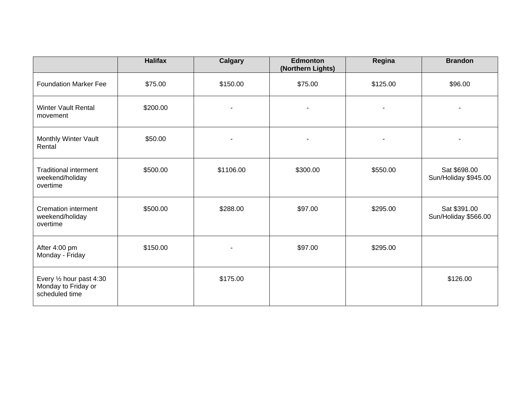|                                                                   | <b>Halifax</b> | <b>Calgary</b>           | <b>Edmonton</b><br>(Northern Lights) | Regina                   | <b>Brandon</b>                       |
|-------------------------------------------------------------------|----------------|--------------------------|--------------------------------------|--------------------------|--------------------------------------|
| <b>Foundation Marker Fee</b>                                      | \$75.00        | \$150.00                 | \$75.00                              | \$125.00                 | \$96.00                              |
| <b>Winter Vault Rental</b><br>movement                            | \$200.00       | $\overline{\phantom{a}}$ | ٠                                    | $\overline{\phantom{a}}$ |                                      |
| Monthly Winter Vault<br>Rental                                    | \$50.00        |                          |                                      | ٠                        |                                      |
| <b>Traditional interment</b><br>weekend/holiday<br>overtime       | \$500.00       | \$1106.00                | \$300.00                             | \$550.00                 | Sat \$698.00<br>Sun/Holiday \$945.00 |
| <b>Cremation interment</b><br>weekend/holiday<br>overtime         | \$500.00       | \$288.00                 | \$97.00                              | \$295.00                 | Sat \$391.00<br>Sun/Holiday \$566.00 |
| After 4:00 pm<br>Monday - Friday                                  | \$150.00       | $\blacksquare$           | \$97.00                              | \$295.00                 |                                      |
| Every 1/2 hour past 4:30<br>Monday to Friday or<br>scheduled time |                | \$175.00                 |                                      |                          | \$126.00                             |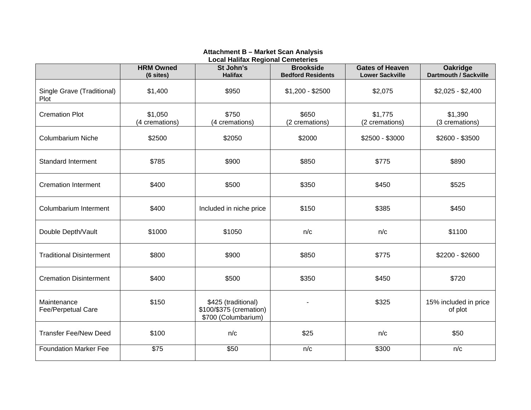## **Attachment B – Market Scan Analysis**

|                                    | <b>HRM Owned</b><br>(6 sites) | Lucar Hamax Regional Cemetenes<br>St John's<br><b>Halifax</b>         | <b>Brookside</b><br><b>Bedford Residents</b> | <b>Gates of Heaven</b><br><b>Lower Sackville</b> | <b>Oakridge</b><br>Dartmouth / Sackville |
|------------------------------------|-------------------------------|-----------------------------------------------------------------------|----------------------------------------------|--------------------------------------------------|------------------------------------------|
| Single Grave (Traditional)<br>Plot | \$1,400                       | \$950                                                                 | $$1,200 - $2500$                             | \$2,075                                          | $$2,025 - $2,400$                        |
| <b>Cremation Plot</b>              | \$1,050<br>(4 cremations)     | \$750<br>(4 cremations)                                               | \$650<br>(2 cremations)                      | \$1,775<br>(2 cremations)                        | \$1,390<br>(3 cremations)                |
| <b>Columbarium Niche</b>           | \$2500                        | \$2050                                                                | \$2000                                       | $$2500 - $3000$                                  | \$2600 - \$3500                          |
| <b>Standard Interment</b>          | \$785                         | \$900                                                                 | \$850                                        | \$775                                            | \$890                                    |
| <b>Cremation Interment</b>         | \$400                         | \$500                                                                 | \$350                                        | \$450                                            | \$525                                    |
| Columbarium Interment              | \$400                         | Included in niche price                                               | \$150                                        | \$385                                            | \$450                                    |
| Double Depth/Vault                 | \$1000                        | \$1050                                                                | n/c                                          | n/c                                              | \$1100                                   |
| <b>Traditional Disinterment</b>    | \$800                         | \$900                                                                 | \$850                                        | \$775                                            | \$2200 - \$2600                          |
| <b>Cremation Disinterment</b>      | \$400                         | \$500                                                                 | \$350                                        | \$450                                            | \$720                                    |
| Maintenance<br>Fee/Perpetual Care  | \$150                         | \$425 (traditional)<br>\$100/\$375 (cremation)<br>\$700 (Columbarium) |                                              | \$325                                            | 15% included in price<br>of plot         |
| <b>Transfer Fee/New Deed</b>       | \$100                         | n/c                                                                   | \$25                                         | n/c                                              | \$50                                     |
| <b>Foundation Marker Fee</b>       | \$75                          | \$50                                                                  | n/c                                          | \$300                                            | n/c                                      |

**Local Halifax Regional Cemeteries**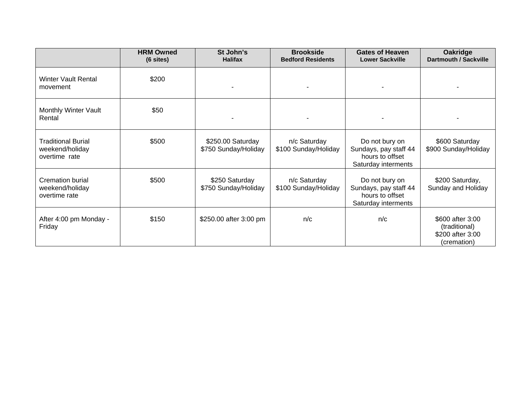|                                                               | <b>HRM Owned</b><br>(6 sites) | St John's<br><b>Halifax</b>               | <b>Brookside</b><br><b>Bedford Residents</b> | <b>Gates of Heaven</b><br><b>Lower Sackville</b>                                  | Oakridge<br>Dartmouth / Sackville                                    |
|---------------------------------------------------------------|-------------------------------|-------------------------------------------|----------------------------------------------|-----------------------------------------------------------------------------------|----------------------------------------------------------------------|
| <b>Winter Vault Rental</b><br>movement                        | \$200                         |                                           |                                              |                                                                                   |                                                                      |
| Monthly Winter Vault<br>Rental                                | \$50                          |                                           |                                              |                                                                                   |                                                                      |
| <b>Traditional Burial</b><br>weekend/holiday<br>overtime rate | \$500                         | \$250.00 Saturday<br>\$750 Sunday/Holiday | n/c Saturday<br>\$100 Sunday/Holiday         | Do not bury on<br>Sundays, pay staff 44<br>hours to offset<br>Saturday interments | \$600 Saturday<br>\$900 Sunday/Holiday                               |
| <b>Cremation burial</b><br>weekend/holiday<br>overtime rate   | \$500                         | \$250 Saturday<br>\$750 Sunday/Holiday    | n/c Saturday<br>\$100 Sunday/Holiday         | Do not bury on<br>Sundays, pay staff 44<br>hours to offset<br>Saturday interments | \$200 Saturday,<br>Sunday and Holiday                                |
| After 4:00 pm Monday -<br>Friday                              | \$150                         | \$250.00 after 3:00 pm                    | n/c                                          | n/c                                                                               | \$600 after 3:00<br>(traditional)<br>\$200 after 3:00<br>(cremation) |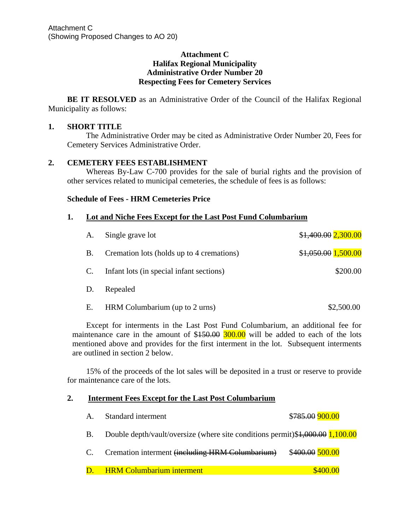## **Attachment C Halifax Regional Municipality Administrative Order Number 20 Respecting Fees for Cemetery Services**

**BE IT RESOLVED** as an Administrative Order of the Council of the Halifax Regional Municipality as follows:

## **1. SHORT TITLE**

The Administrative Order may be cited as Administrative Order Number 20, Fees for Cemetery Services Administrative Order.

## **2. CEMETERY FEES ESTABLISHMENT**

Whereas By-Law C-700 provides for the sale of burial rights and the provision of other services related to municipal cemeteries, the schedule of fees is as follows:

## **Schedule of Fees - HRM Cemeteries Price**

## **1. Lot and Niche Fees Except for the Last Post Fund Columbarium**

| A.        | Single grave lot                          | \$1,400.00 2,300.00 |
|-----------|-------------------------------------------|---------------------|
| <b>B.</b> | Cremation lots (holds up to 4 cremations) | \$1,050.00 1,500.00 |
| C.        | Infant lots (in special infant sections)  | \$200.00            |
| D.        | Repealed                                  |                     |
| Ε.        | HRM Columbarium (up to 2 urns)            | \$2,500.00          |

Except for interments in the Last Post Fund Columbarium, an additional fee for maintenance care in the amount of  $$150.00$   $300.00$  will be added to each of the lots mentioned above and provides for the first interment in the lot. Subsequent interments are outlined in section 2 below.

15% of the proceeds of the lot sales will be deposited in a trust or reserve to provide for maintenance care of the lots.

## **2. Interment Fees Except for the Last Post Columbarium**

| $\mathbf{A}$ . | Standard interment                                                            | \$785.00 900.00 |
|----------------|-------------------------------------------------------------------------------|-----------------|
| <b>B.</b>      | Double depth/vault/oversize (where site conditions permit)\$1,000.00 1,100.00 |                 |
| C.             | Cremation interment (including HRM Columbarium)                               | \$400.00 500.00 |
| D.             | <b>HRM Columbarium interment</b>                                              | \$400.00        |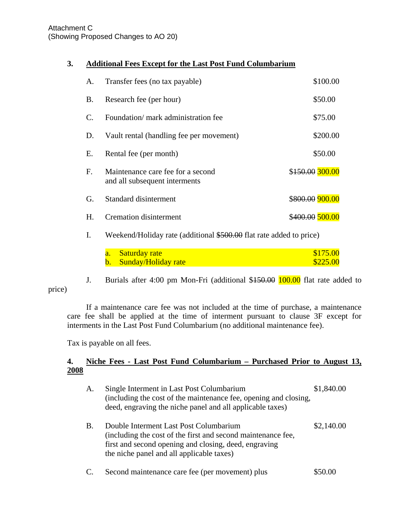## Attachment C (Showing Proposed Changes to AO 20)

## **3. Additional Fees Except for the Last Post Fund Columbarium**

| A.           | Transfer fees (no tax payable)                                     | \$100.00        |
|--------------|--------------------------------------------------------------------|-----------------|
| Β.           | Research fee (per hour)                                            | \$50.00         |
| $\mathsf{C}$ | Foundation/ mark administration fee                                | \$75.00         |
| D.           | Vault rental (handling fee per movement)                           | \$200.00        |
| Е.           | Rental fee (per month)                                             | \$50.00         |
| F.           | Maintenance care fee for a second<br>and all subsequent interments | \$150.00 300.00 |
| G.           | Standard disinterment                                              | \$800.00 900.00 |
| Н.           | <b>Cremation disinterment</b>                                      | \$400.00 500.00 |
|              |                                                                    |                 |

I. Weekend/Holiday rate (additional \$500.00 flat rate added to price)

| a. Saturday rate              | \$175.00 |
|-------------------------------|----------|
| <b>b.</b> Sunday/Holiday rate | \$225.00 |

price)

J. Burials after 4:00 pm Mon-Fri (additional \$150.00 100.00 flat rate added to

If a maintenance care fee was not included at the time of purchase, a maintenance care fee shall be applied at the time of interment pursuant to clause 3F except for interments in the Last Post Fund Columbarium (no additional maintenance fee).

Tax is payable on all fees.

## **4. Niche Fees - Last Post Fund Columbarium – Purchased Prior to August 13, 2008**

| А. | Single Interment in Last Post Columbarium<br>(including the cost of the maintenance fee, opening and closing,<br>deed, engraving the niche panel and all applicable taxes)                                   | \$1,840.00 |
|----|--------------------------------------------------------------------------------------------------------------------------------------------------------------------------------------------------------------|------------|
| В. | Double Interment Last Post Columbarium<br>(including the cost of the first and second maintenance fee,<br>first and second opening and closing, deed, engraving<br>the niche panel and all applicable taxes) | \$2,140.00 |

C. Second maintenance care fee (per movement) plus \$50.00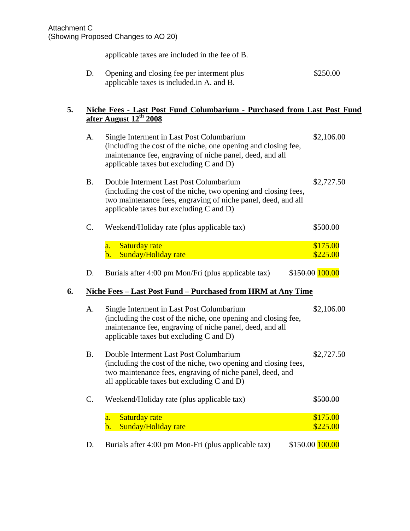applicable taxes are included in the fee of B.

| Opening and closing fee per interment plus | \$250.00 |
|--------------------------------------------|----------|
| applicable taxes is included in A. and B.  |          |

## **5. Niche Fees - Last Post Fund Columbarium - Purchased from Last Post Fund after August 12th 2008**

|    | A.        | Single Interment in Last Post Columbarium<br>(including the cost of the niche, one opening and closing fee,<br>maintenance fee, engraving of niche panel, deed, and all<br>applicable taxes but excluding C and D)         | \$2,106.00           |
|----|-----------|----------------------------------------------------------------------------------------------------------------------------------------------------------------------------------------------------------------------------|----------------------|
|    | <b>B.</b> | Double Interment Last Post Columbarium<br>(including the cost of the niche, two opening and closing fees,<br>two maintenance fees, engraving of niche panel, deed, and all<br>applicable taxes but excluding $C$ and $D$ ) | \$2,727.50           |
|    | C.        | Weekend/Holiday rate (plus applicable tax)                                                                                                                                                                                 | \$500.00             |
|    |           | <b>Saturday rate</b><br>$\overline{a}$ .<br>Sunday/Holiday rate<br>b.                                                                                                                                                      | \$175.00<br>\$225.00 |
|    | D.        | Burials after 4:00 pm Mon/Fri (plus applicable tax)                                                                                                                                                                        | \$150.00 100.00      |
| 6. |           | Niche Fees - Last Post Fund - Purchased from HRM at Any Time                                                                                                                                                               |                      |
|    | A.        | Single Interment in Last Post Columbarium<br>(including the cost of the niche, one opening and closing fee,<br>maintenance fee, engraving of niche panel, deed, and all<br>applicable taxes but excluding $C$ and $D$ )    | \$2,106.00           |
|    | <b>B.</b> | Double Interment Last Post Columbarium<br>(including the cost of the niche, two opening and closing fees,<br>two maintenance fees, engraving of niche panel, deed, and<br>all applicable taxes but excluding C and D)      | \$2,727.50           |
|    | C.        | Weekend/Holiday rate (plus applicable tax)                                                                                                                                                                                 | \$500.00             |
|    |           | <b>Saturday rate</b><br>$\overline{a}$ .<br>Sunday/Holiday rate<br>$\mathbf b$ .                                                                                                                                           | \$175.00<br>\$225.00 |
|    | D.        | Burials after 4:00 pm Mon-Fri (plus applicable tax)                                                                                                                                                                        | \$150.00 100.00      |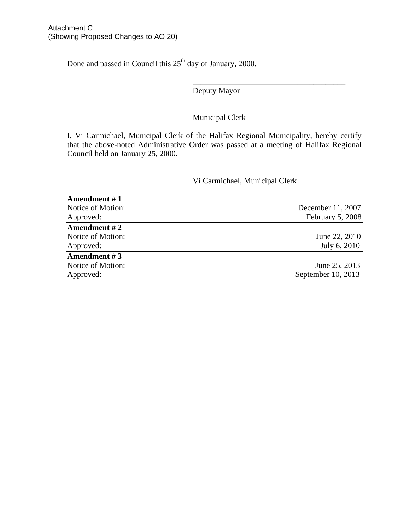Done and passed in Council this 25<sup>th</sup> day of January, 2000.

Deputy Mayor

 $\frac{1}{\sqrt{2}}$  ,  $\frac{1}{\sqrt{2}}$  ,  $\frac{1}{\sqrt{2}}$  ,  $\frac{1}{\sqrt{2}}$  ,  $\frac{1}{\sqrt{2}}$  ,  $\frac{1}{\sqrt{2}}$  ,  $\frac{1}{\sqrt{2}}$  ,  $\frac{1}{\sqrt{2}}$  ,  $\frac{1}{\sqrt{2}}$  ,  $\frac{1}{\sqrt{2}}$  ,  $\frac{1}{\sqrt{2}}$  ,  $\frac{1}{\sqrt{2}}$  ,  $\frac{1}{\sqrt{2}}$  ,  $\frac{1}{\sqrt{2}}$  ,  $\frac{1}{\sqrt{2}}$ 

 $\frac{1}{\sqrt{2}}$  ,  $\frac{1}{\sqrt{2}}$  ,  $\frac{1}{\sqrt{2}}$  ,  $\frac{1}{\sqrt{2}}$  ,  $\frac{1}{\sqrt{2}}$  ,  $\frac{1}{\sqrt{2}}$  ,  $\frac{1}{\sqrt{2}}$  ,  $\frac{1}{\sqrt{2}}$  ,  $\frac{1}{\sqrt{2}}$  ,  $\frac{1}{\sqrt{2}}$  ,  $\frac{1}{\sqrt{2}}$  ,  $\frac{1}{\sqrt{2}}$  ,  $\frac{1}{\sqrt{2}}$  ,  $\frac{1}{\sqrt{2}}$  ,  $\frac{1}{\sqrt{2}}$ Municipal Clerk

I, Vi Carmichael, Municipal Clerk of the Halifax Regional Municipality, hereby certify that the above-noted Administrative Order was passed at a meeting of Halifax Regional Council held on January 25, 2000.

 $\frac{1}{\sqrt{2}}$  ,  $\frac{1}{\sqrt{2}}$  ,  $\frac{1}{\sqrt{2}}$  ,  $\frac{1}{\sqrt{2}}$  ,  $\frac{1}{\sqrt{2}}$  ,  $\frac{1}{\sqrt{2}}$  ,  $\frac{1}{\sqrt{2}}$  ,  $\frac{1}{\sqrt{2}}$  ,  $\frac{1}{\sqrt{2}}$  ,  $\frac{1}{\sqrt{2}}$  ,  $\frac{1}{\sqrt{2}}$  ,  $\frac{1}{\sqrt{2}}$  ,  $\frac{1}{\sqrt{2}}$  ,  $\frac{1}{\sqrt{2}}$  ,  $\frac{1}{\sqrt{2}}$ 

# Vi Carmichael, Municipal Clerk

| Amendment #1      |                    |
|-------------------|--------------------|
| Notice of Motion: | December 11, 2007  |
| Approved:         | February 5, 2008   |
| Amendment #2      |                    |
| Notice of Motion: | June 22, 2010      |
| Approved:         | July 6, 2010       |
| Amendment #3      |                    |
| Notice of Motion: | June 25, 2013      |
| Approved:         | September 10, 2013 |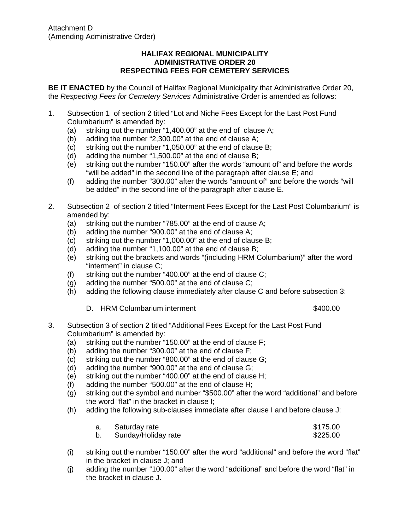## **HALIFAX REGIONAL MUNICIPALITY ADMINISTRATIVE ORDER 20 RESPECTING FEES FOR CEMETERY SERVICES**

**BE IT ENACTED** by the Council of Halifax Regional Municipality that Administrative Order 20, the *Respecting Fees for Cemetery Services* Administrative Order is amended as follows:

- 1. Subsection 1 of section 2 titled "Lot and Niche Fees Except for the Last Post Fund Columbarium" is amended by:
	- (a) striking out the number "1,400.00" at the end of clause A;
	- (b) adding the number "2,300.00" at the end of clause A;
	- (c) striking out the number "1,050.00" at the end of clause B;
	- (d) adding the number "1,500.00" at the end of clause B;
	- (e) striking out the number "150.00" after the words "amount of" and before the words "will be added" in the second line of the paragraph after clause E; and
	- (f) adding the number "300.00" after the words "amount of" and before the words "will be added" in the second line of the paragraph after clause E.
- 2. Subsection 2 of section 2 titled "Interment Fees Except for the Last Post Columbarium" is amended by:
	- (a) striking out the number "785.00" at the end of clause A;
	- (b) adding the number "900.00" at the end of clause A;
	- (c) striking out the number "1,000.00" at the end of clause B;
	- (d) adding the number "1,100.00" at the end of clause B;
	- (e) striking out the brackets and words "(including HRM Columbarium)" after the word "interment" in clause C;
	- (f) striking out the number "400.00" at the end of clause C;
	- (g) adding the number "500.00" at the end of clause C;
	- (h) adding the following clause immediately after clause C and before subsection 3:
		- D. HRM Columbarium interment  $$400.00$
- 3. Subsection 3 of section 2 titled "Additional Fees Except for the Last Post Fund Columbarium" is amended by:
	- (a) striking out the number "150.00" at the end of clause F;
	- (b) adding the number "300.00" at the end of clause F;
	- (c) striking out the number "800.00" at the end of clause G;
	- (d) adding the number "900.00" at the end of clause G;
	- (e) striking out the number "400.00" at the end of clause H;
	- (f) adding the number "500.00" at the end of clause H;
	- (g) striking out the symbol and number "\$500.00" after the word "additional" and before the word "flat" in the bracket in clause I;
	- (h) adding the following sub-clauses immediate after clause I and before clause J:

| a. Saturday rate    | \$175.00 |
|---------------------|----------|
| Sunday/Holiday rate | \$225.00 |

- (i) striking out the number "150.00" after the word "additional" and before the word "flat" in the bracket in clause J; and
- (j) adding the number "100.00" after the word "additional" and before the word "flat" in the bracket in clause J.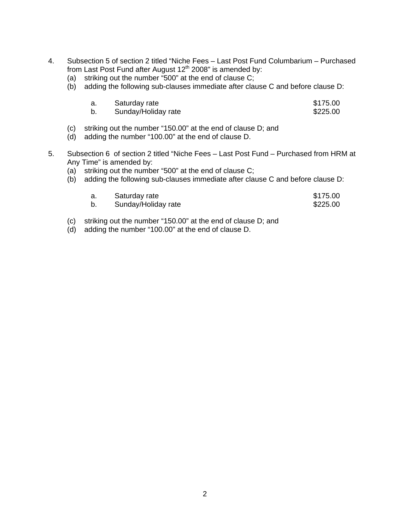- 4. Subsection 5 of section 2 titled "Niche Fees Last Post Fund Columbarium Purchased from Last Post Fund after August  $12<sup>th</sup>$  2008" is amended by:
	- (a) striking out the number "500" at the end of clause C;
	- (b) adding the following sub-clauses immediate after clause C and before clause D:

| a. | Saturday rate | \$175.00 |
|----|---------------|----------|
|    |               |          |

| Sunday/Holiday rate<br>\$225.00 |
|---------------------------------|
|---------------------------------|

- (c) striking out the number "150.00" at the end of clause D; and
- (d) adding the number "100.00" at the end of clause D.
- 5. Subsection 6 of section 2 titled "Niche Fees Last Post Fund Purchased from HRM at Any Time" is amended by:
	- (a) striking out the number "500" at the end of clause C;
	- (b) adding the following sub-clauses immediate after clause C and before clause D:

| Saturday rate       | \$175.00 |
|---------------------|----------|
| Sunday/Holiday rate | \$225.00 |

- (c) striking out the number "150.00" at the end of clause D; and
- (d) adding the number "100.00" at the end of clause D.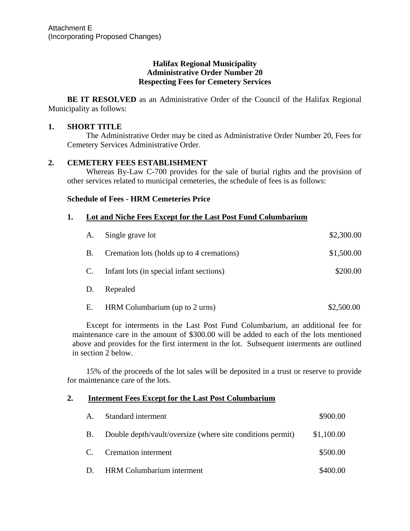## **Halifax Regional Municipality Administrative Order Number 20 Respecting Fees for Cemetery Services**

**BE IT RESOLVED** as an Administrative Order of the Council of the Halifax Regional Municipality as follows:

## **1. SHORT TITLE**

The Administrative Order may be cited as Administrative Order Number 20, Fees for Cemetery Services Administrative Order.

## **2. CEMETERY FEES ESTABLISHMENT**

Whereas By-Law C-700 provides for the sale of burial rights and the provision of other services related to municipal cemeteries, the schedule of fees is as follows:

## **Schedule of Fees - HRM Cemeteries Price**

## **1. Lot and Niche Fees Except for the Last Post Fund Columbarium**

| A.        | Single grave lot                          | \$2,300.00 |
|-----------|-------------------------------------------|------------|
| <b>B.</b> | Cremation lots (holds up to 4 cremations) | \$1,500.00 |
| C.        | Infant lots (in special infant sections)  | \$200.00   |
| D.        | Repealed                                  |            |
| Е.        | HRM Columbarium (up to 2 urns)            | \$2,500.00 |

Except for interments in the Last Post Fund Columbarium, an additional fee for maintenance care in the amount of \$300.00 will be added to each of the lots mentioned above and provides for the first interment in the lot. Subsequent interments are outlined in section 2 below.

15% of the proceeds of the lot sales will be deposited in a trust or reserve to provide for maintenance care of the lots.

## **2. Interment Fees Except for the Last Post Columbarium**

| A.           | Standard interment                                         | \$900.00   |
|--------------|------------------------------------------------------------|------------|
| <b>B.</b>    | Double depth/vault/oversize (where site conditions permit) | \$1,100.00 |
| $\mathsf{C}$ | Cremation interment                                        | \$500.00   |
| D.           | <b>HRM</b> Columbarium interment                           | \$400.00   |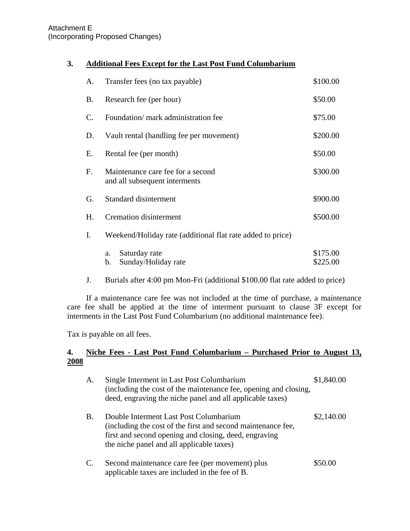## Attachment E (Incorporating Proposed Changes)

# **3. Additional Fees Except for the Last Post Fund Columbarium**

| A. | Transfer fees (no tax payable)                                     | \$100.00             |
|----|--------------------------------------------------------------------|----------------------|
| В. | Research fee (per hour)                                            | \$50.00              |
| C. | Foundation/ mark administration fee                                | \$75.00              |
| D. | Vault rental (handling fee per movement)                           | \$200.00             |
| Е. | Rental fee (per month)                                             | \$50.00              |
| F. | Maintenance care fee for a second<br>and all subsequent interments | \$300.00             |
| G. | <b>Standard disinterment</b>                                       | \$900.00             |
| Η. | <b>Cremation disinterment</b>                                      | \$500.00             |
| Ι. | Weekend/Holiday rate (additional flat rate added to price)         |                      |
|    | Saturday rate<br>a.<br>Sunday/Holiday rate<br>b.                   | \$175.00<br>\$225.00 |

J. Burials after 4:00 pm Mon-Fri (additional \$100.00 flat rate added to price)

If a maintenance care fee was not included at the time of purchase, a maintenance care fee shall be applied at the time of interment pursuant to clause 3F except for interments in the Last Post Fund Columbarium (no additional maintenance fee).

Tax is payable on all fees.

## **4. Niche Fees - Last Post Fund Columbarium – Purchased Prior to August 13, 2008**

| А. | Single Interment in Last Post Columbarium<br>(including the cost of the maintenance fee, opening and closing,<br>deed, engraving the niche panel and all applicable taxes)                                   | \$1,840.00 |
|----|--------------------------------------------------------------------------------------------------------------------------------------------------------------------------------------------------------------|------------|
| B. | Double Interment Last Post Columbarium<br>(including the cost of the first and second maintenance fee,<br>first and second opening and closing, deed, engraving<br>the niche panel and all applicable taxes) | \$2,140.00 |
| C. | Second maintenance care fee (per movement) plus<br>applicable taxes are included in the fee of B.                                                                                                            | \$50.00    |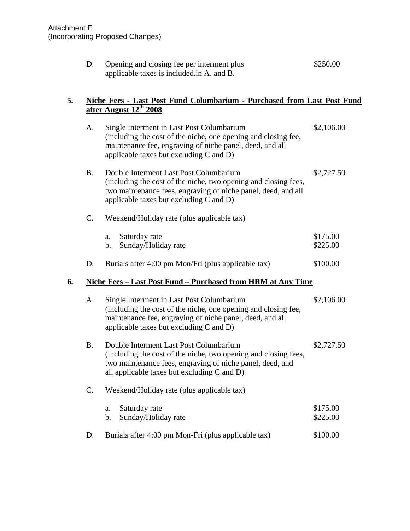|    | D.        | Opening and closing fee per interment plus<br>applicable taxes is included in A. and B.                                                                                                                               | \$250.00             |
|----|-----------|-----------------------------------------------------------------------------------------------------------------------------------------------------------------------------------------------------------------------|----------------------|
| 5. |           | Niche Fees - Last Post Fund Columbarium - Purchased from Last Post Fund<br>after August 12 <sup>th</sup> 2008                                                                                                         |                      |
|    | A.        | Single Interment in Last Post Columbarium<br>(including the cost of the niche, one opening and closing fee,<br>maintenance fee, engraving of niche panel, deed, and all<br>applicable taxes but excluding C and D)    | \$2,106.00           |
|    | <b>B.</b> | Double Interment Last Post Columbarium<br>(including the cost of the niche, two opening and closing fees,<br>two maintenance fees, engraving of niche panel, deed, and all<br>applicable taxes but excluding C and D) | \$2,727.50           |
|    | C.        | Weekend/Holiday rate (plus applicable tax)                                                                                                                                                                            |                      |
|    |           | Saturday rate<br>a.<br>Sunday/Holiday rate<br>b.                                                                                                                                                                      | \$175.00<br>\$225.00 |
|    | D.        | Burials after 4:00 pm Mon/Fri (plus applicable tax)                                                                                                                                                                   | \$100.00             |
| 6. |           | <u> Niche Fees – Last Post Fund – Purchased from HRM at Any Time</u>                                                                                                                                                  |                      |
|    | A.        | Single Interment in Last Post Columbarium<br>(including the cost of the niche, one opening and closing fee,<br>maintenance fee, engraving of niche panel, deed, and all<br>applicable taxes but excluding C and D)    | \$2,106.00           |
|    | <b>B.</b> | Double Interment Last Post Columbarium<br>(including the cost of the niche, two opening and closing fees,<br>two maintenance fees, engraving of niche panel, deed, and<br>all applicable taxes but excluding C and D) | \$2,727.50           |
|    | C.        | Weekend/Holiday rate (plus applicable tax)                                                                                                                                                                            |                      |
|    |           | Saturday rate<br>a.<br>Sunday/Holiday rate<br>$\mathbf b$ .                                                                                                                                                           | \$175.00<br>\$225.00 |
|    | D.        | Burials after 4:00 pm Mon-Fri (plus applicable tax)                                                                                                                                                                   | \$100.00             |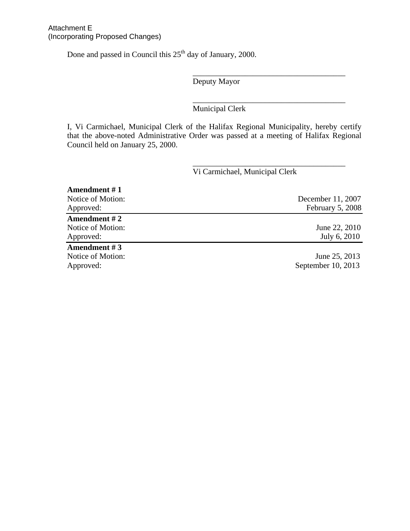Done and passed in Council this  $25<sup>th</sup>$  day of January, 2000.

Deputy Mayor

 $\frac{1}{\sqrt{2}}$  ,  $\frac{1}{\sqrt{2}}$  ,  $\frac{1}{\sqrt{2}}$  ,  $\frac{1}{\sqrt{2}}$  ,  $\frac{1}{\sqrt{2}}$  ,  $\frac{1}{\sqrt{2}}$  ,  $\frac{1}{\sqrt{2}}$  ,  $\frac{1}{\sqrt{2}}$  ,  $\frac{1}{\sqrt{2}}$  ,  $\frac{1}{\sqrt{2}}$  ,  $\frac{1}{\sqrt{2}}$  ,  $\frac{1}{\sqrt{2}}$  ,  $\frac{1}{\sqrt{2}}$  ,  $\frac{1}{\sqrt{2}}$  ,  $\frac{1}{\sqrt{2}}$ 

 $\frac{1}{\sqrt{2}}$  ,  $\frac{1}{\sqrt{2}}$  ,  $\frac{1}{\sqrt{2}}$  ,  $\frac{1}{\sqrt{2}}$  ,  $\frac{1}{\sqrt{2}}$  ,  $\frac{1}{\sqrt{2}}$  ,  $\frac{1}{\sqrt{2}}$  ,  $\frac{1}{\sqrt{2}}$  ,  $\frac{1}{\sqrt{2}}$  ,  $\frac{1}{\sqrt{2}}$  ,  $\frac{1}{\sqrt{2}}$  ,  $\frac{1}{\sqrt{2}}$  ,  $\frac{1}{\sqrt{2}}$  ,  $\frac{1}{\sqrt{2}}$  ,  $\frac{1}{\sqrt{2}}$ 

 $\frac{1}{\sqrt{2}}$  ,  $\frac{1}{\sqrt{2}}$  ,  $\frac{1}{\sqrt{2}}$  ,  $\frac{1}{\sqrt{2}}$  ,  $\frac{1}{\sqrt{2}}$  ,  $\frac{1}{\sqrt{2}}$  ,  $\frac{1}{\sqrt{2}}$  ,  $\frac{1}{\sqrt{2}}$  ,  $\frac{1}{\sqrt{2}}$  ,  $\frac{1}{\sqrt{2}}$  ,  $\frac{1}{\sqrt{2}}$  ,  $\frac{1}{\sqrt{2}}$  ,  $\frac{1}{\sqrt{2}}$  ,  $\frac{1}{\sqrt{2}}$  ,  $\frac{1}{\sqrt{2}}$ 

Municipal Clerk

I, Vi Carmichael, Municipal Clerk of the Halifax Regional Municipality, hereby certify that the above-noted Administrative Order was passed at a meeting of Halifax Regional Council held on January 25, 2000.

# Vi Carmichael, Municipal Clerk

| Amendment #1      |                    |
|-------------------|--------------------|
| Notice of Motion: | December 11, 2007  |
| Approved:         | February 5, 2008   |
| Amendment #2      |                    |
| Notice of Motion: | June 22, 2010      |
| Approved:         | July 6, 2010       |
| Amendment #3      |                    |
| Notice of Motion: | June 25, 2013      |
| Approved:         | September 10, 2013 |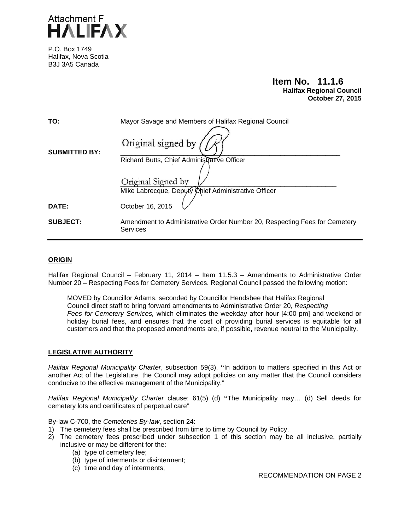

P.O. Box 1749 Halifax, Nova Scotia B3J 3A5 Canada

# **Item No. 11.1.6**<br>Halifax Regional Council  **October 27, 2015**

| TO:                  | Mayor Savage and Members of Halifax Regional Council                                  |
|----------------------|---------------------------------------------------------------------------------------|
| <b>SUBMITTED BY:</b> | Original signed by                                                                    |
|                      | Richard Butts, Chief Administrative Officer                                           |
|                      | Original Signed by                                                                    |
|                      | Mike Labrecque, Deputy Chief Administrative Officer                                   |
| <b>DATE:</b>         | October 16, 2015                                                                      |
| <b>SUBJECT:</b>      | Amendment to Administrative Order Number 20, Respecting Fees for Cemetery<br>Services |

#### **ORIGIN**

Halifax Regional Council – February 11, 2014 – Item 11.5.3 – Amendments to Administrative Order Number 20 – Respecting Fees for Cemetery Services. Regional Council passed the following motion:

MOVED by Councillor Adams, seconded by Councillor Hendsbee that Halifax Regional Council direct staff to bring forward amendments to Administrative Order 20, *Respecting Fees for Cemetery Services,* which eliminates the weekday after hour [4:00 pm] and weekend or holiday burial fees, and ensures that the cost of providing burial services is equitable for all customers and that the proposed amendments are, if possible, revenue neutral to the Municipality.

#### **LEGISLATIVE AUTHORITY**

*Halifax Regional Municipality Charter*, subsection 59(3), **"**In addition to matters specified in this Act or another Act of the Legislature, the Council may adopt policies on any matter that the Council considers conducive to the effective management of the Municipality,"

*Halifax Regional Municipality Charter* clause: 61(5) (d) **"**The Municipality may… (d) Sell deeds for cemetery lots and certificates of perpetual care"

By-law C-700, the *Cemeteries By-law*, section 24:

- 1) The cemetery fees shall be prescribed from time to time by Council by Policy.
- 2) The cemetery fees prescribed under subsection 1 of this section may be all inclusive, partially inclusive or may be different for the:
	- (a) type of cemetery fee;
	- (b) type of interments or disinterment;
	- (c) time and day of interments;

RECOMMENDATION ON PAGE 2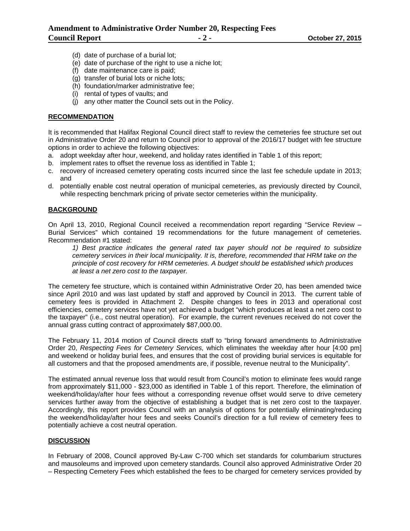- (d) date of purchase of a burial lot;
- (e) date of purchase of the right to use a niche lot;
- (f) date maintenance care is paid;
- (g) transfer of burial lots or niche lots;
- (h) foundation/marker administrative fee;
- (i) rental of types of vaults; and
- (j) any other matter the Council sets out in the Policy.

#### **RECOMMENDATION**

It is recommended that Halifax Regional Council direct staff to review the cemeteries fee structure set out in Administrative Order 20 and return to Council prior to approval of the 2016/17 budget with fee structure options in order to achieve the following objectives:

- a. adopt weekday after hour, weekend, and holiday rates identified in Table 1 of this report;
- b. implement rates to offset the revenue loss as identified in Table 1;
- c. recovery of increased cemetery operating costs incurred since the last fee schedule update in 2013; and
- d. potentially enable cost neutral operation of municipal cemeteries, as previously directed by Council, while respecting benchmark pricing of private sector cemeteries within the municipality.

#### **BACKGROUND**

On April 13, 2010, Regional Council received a recommendation report regarding "Service Review – Burial Services" which contained 19 recommendations for the future management of cemeteries. Recommendation #1 stated:

*1) Best practice indicates the general rated tax payer should not be required to subsidize cemetery services in their local municipality. It is, therefore, recommended that HRM take on the principle of cost recovery for HRM cemeteries. A budget should be established which produces at least a net zero cost to the taxpayer.* 

The cemetery fee structure, which is contained within Administrative Order 20, has been amended twice since April 2010 and was last updated by staff and approved by Council in 2013. The current table of cemetery fees is provided in Attachment 2. Despite changes to fees in 2013 and operational cost efficiencies, cemetery services have not yet achieved a budget "which produces at least a net zero cost to the taxpayer" (i.e., cost neutral operation). For example, the current revenues received do not cover the annual grass cutting contract of approximately \$87,000.00.

The February 11, 2014 motion of Council directs staff to "bring forward amendments to Administrative Order 20, *Respecting Fees for Cemetery Services,* which eliminates the weekday after hour [4:00 pm] and weekend or holiday burial fees, and ensures that the cost of providing burial services is equitable for all customers and that the proposed amendments are, if possible, revenue neutral to the Municipality".

The estimated annual revenue loss that would result from Council's motion to eliminate fees would range from approximately \$11,000 - \$23,000 as identified in Table 1 of this report. Therefore, the elimination of weekend/holiday/after hour fees without a corresponding revenue offset would serve to drive cemetery services further away from the objective of establishing a budget that is net zero cost to the taxpayer. Accordingly, this report provides Council with an analysis of options for potentially eliminating/reducing the weekend/holiday/after hour fees and seeks Council's direction for a full review of cemetery fees to potentially achieve a cost neutral operation.

#### **DISCUSSION**

In February of 2008, Council approved By-Law C-700 which set standards for columbarium structures and mausoleums and improved upon cemetery standards. Council also approved Administrative Order 20 – Respecting Cemetery Fees which established the fees to be charged for cemetery services provided by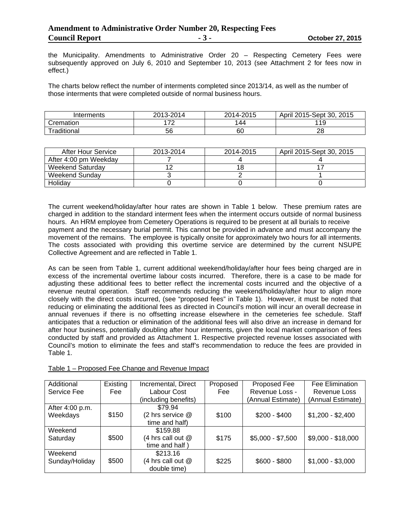the Municipality. Amendments to Administrative Order 20 – Respecting Cemetery Fees were subsequently approved on July 6, 2010 and September 10, 2013 (see Attachment 2 for fees now in effect.)

The charts below reflect the number of interments completed since 2013/14, as well as the number of those interments that were completed outside of normal business hours.

| Interments  | 2013-2014 | 2014-2015 | April 2015-Sept 30,<br>2015 |
|-------------|-----------|-----------|-----------------------------|
| Cremation   | הי        | 44        | 11 Q<br>. .                 |
| Traditional | 56        | 60        | 28                          |

| After Hour Service    | 2013-2014 | 2014-2015 | April 2015-Sept 30, 2015 |
|-----------------------|-----------|-----------|--------------------------|
| After 4:00 pm Weekday |           |           |                          |
| Weekend Saturdav      |           |           |                          |
| Weekend Sundav        |           |           |                          |
| Holiday               |           |           |                          |

The current weekend/holiday/after hour rates are shown in Table 1 below. These premium rates are charged in addition to the standard interment fees when the interment occurs outside of normal business hours. An HRM employee from Cemetery Operations is required to be present at all burials to receive payment and the necessary burial permit. This cannot be provided in advance and must accompany the movement of the remains. The employee is typically onsite for approximately two hours for all interments. The costs associated with providing this overtime service are determined by the current NSUPE Collective Agreement and are reflected in Table 1.

As can be seen from Table 1, current additional weekend/holiday/after hour fees being charged are in excess of the incremental overtime labour costs incurred. Therefore, there is a case to be made for adjusting these additional fees to better reflect the incremental costs incurred and the objective of a revenue neutral operation. Staff recommends reducing the weekend/holiday/after hour to align more closely with the direct costs incurred, (see "proposed fees" in Table 1). However, it must be noted that reducing or eliminating the additional fees as directed in Council's motion will incur an overall decrease in annual revenues if there is no offsetting increase elsewhere in the cemeteries fee schedule. Staff anticipates that a reduction or elimination of the additional fees will also drive an increase in demand for after hour business, potentially doubling after hour interments, given the local market comparison of fees conducted by staff and provided as Attachment 1. Respective projected revenue losses associated with Council's motion to eliminate the fees and staff's recommendation to reduce the fees are provided in Table 1.

| Additional      | Existing   | Incremental, Direct  | Proposed | Proposed Fee      | Fee Elimination    |
|-----------------|------------|----------------------|----------|-------------------|--------------------|
| Service Fee     | <b>Fee</b> | Labour Cost          | Fee      | Revenue Loss -    | Revenue Loss       |
|                 |            | (including benefits) |          | (Annual Estimate) | (Annual Estimate)  |
| After 4:00 p.m. |            | \$79.94              |          |                   |                    |
| Weekdays        | \$150      | (2 hrs service @     | \$100    | $$200 - $400$     | $$1,200 - $2,400$  |
|                 |            | time and half)       |          |                   |                    |
| Weekend         |            | \$159.88             |          |                   |                    |
| Saturday        | \$500      | (4 hrs call out @    | \$175    | $$5,000 - $7,500$ | $$9,000 - $18,000$ |
|                 |            | time and half)       |          |                   |                    |
| Weekend         |            | \$213.16             |          |                   |                    |
| Sunday/Holiday  | \$500      | (4 hrs call out @    | \$225    | $$600 - $800$     | $$1,000 - $3,000$  |
|                 |            | double time)         |          |                   |                    |

#### Table 1 – Proposed Fee Change and Revenue Impact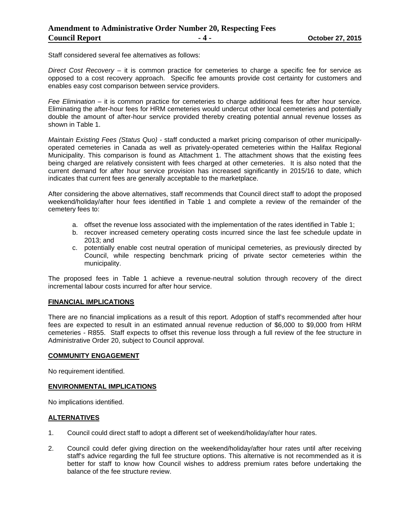Staff considered several fee alternatives as follows:

*Direct Cost Recovery* – it is common practice for cemeteries to charge a specific fee for service as opposed to a cost recovery approach. Specific fee amounts provide cost certainty for customers and enables easy cost comparison between service providers.

*Fee Elimination* – it is common practice for cemeteries to charge additional fees for after hour service. Eliminating the after-hour fees for HRM cemeteries would undercut other local cemeteries and potentially double the amount of after-hour service provided thereby creating potential annual revenue losses as shown in Table 1.

*Maintain Existing Fees (Status Quo)* - staff conducted a market pricing comparison of other municipallyoperated cemeteries in Canada as well as privately-operated cemeteries within the Halifax Regional Municipality. This comparison is found as Attachment 1. The attachment shows that the existing fees being charged are relatively consistent with fees charged at other cemeteries. It is also noted that the current demand for after hour service provision has increased significantly in 2015/16 to date, which indicates that current fees are generally acceptable to the marketplace.

After considering the above alternatives, staff recommends that Council direct staff to adopt the proposed weekend/holiday/after hour fees identified in Table 1 and complete a review of the remainder of the cemetery fees to:

- a. offset the revenue loss associated with the implementation of the rates identified in Table 1;
- b. recover increased cemetery operating costs incurred since the last fee schedule update in 2013; and
- c. potentially enable cost neutral operation of municipal cemeteries, as previously directed by Council, while respecting benchmark pricing of private sector cemeteries within the municipality.

The proposed fees in Table 1 achieve a revenue-neutral solution through recovery of the direct incremental labour costs incurred for after hour service.

#### **FINANCIAL IMPLICATIONS**

There are no financial implications as a result of this report. Adoption of staff's recommended after hour fees are expected to result in an estimated annual revenue reduction of \$6,000 to \$9,000 from HRM cemeteries - R855. Staff expects to offset this revenue loss through a full review of the fee structure in Administrative Order 20, subject to Council approval.

#### **COMMUNITY ENGAGEMENT**

No requirement identified.

#### **ENVIRONMENTAL IMPLICATIONS**

No implications identified.

#### **ALTERNATIVES**

- 1. Council could direct staff to adopt a different set of weekend/holiday/after hour rates.
- 2. Council could defer giving direction on the weekend/holiday/after hour rates until after receiving staff's advice regarding the full fee structure options. This alternative is not recommended as it is better for staff to know how Council wishes to address premium rates before undertaking the balance of the fee structure review.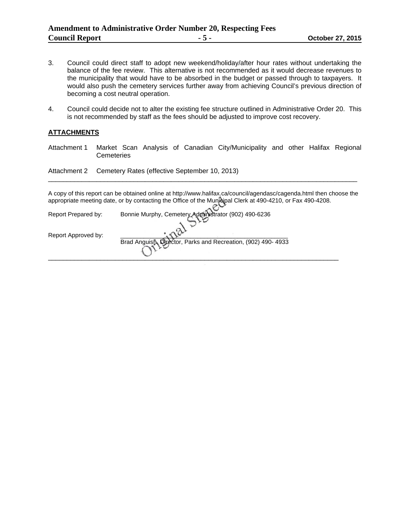- 3. Council could direct staff to adopt new weekend/holiday/after hour rates without undertaking the balance of the fee review. This alternative is not recommended as it would decrease revenues to the municipality that would have to be absorbed in the budget or passed through to taxpayers. It would also push the cemetery services further away from achieving Council's previous direction of becoming a cost neutral operation.
- 4. Council could decide not to alter the existing fee structure outlined in Administrative Order 20. This is not recommended by staff as the fees should be adjusted to improve cost recovery.

#### **ATTACHMENTS**

Attachment 1 Market Scan Analysis of Canadian City/Municipality and other Halifax Regional **Cemeteries** 

Attachment 2 Cemetery Rates (effective September 10, 2013)

A copy of this report can be obtained online at http://www.halifax.ca/council/agendasc/cagenda.html then choose the appropriate meeting date, or by contacting the Office of the Municipal Clerk at 490-4210, or Fax 490-4208.

\_\_\_\_\_\_\_\_\_\_\_\_\_\_\_\_\_\_\_\_\_\_\_\_\_\_\_\_\_\_\_\_\_\_\_\_\_\_\_\_\_\_\_\_\_\_\_\_\_\_\_\_\_\_\_\_\_\_\_\_\_\_\_\_\_\_\_\_\_\_\_\_\_\_\_\_\_\_\_\_\_\_\_

| Report Prepared by: | Bonnie Murphy, Cemetery Administrator (902) 490-6236          |
|---------------------|---------------------------------------------------------------|
| Report Approved by: | Brad Anguish, Director, Parks and Recreation, (902) 490- 4933 |
|                     |                                                               |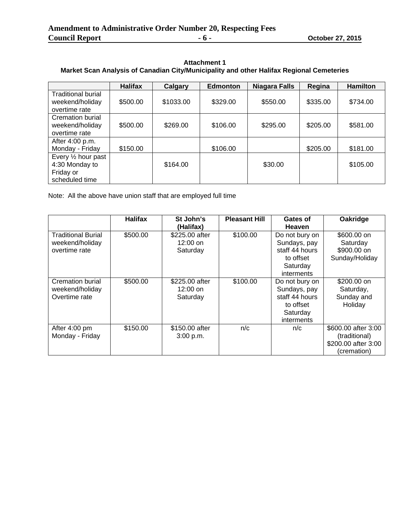| <b>Attachment 1</b>                                                                      |
|------------------------------------------------------------------------------------------|
| Market Scan Analysis of Canadian City/Municipality and other Halifax Regional Cemeteries |

|                                                                      | <b>Halifax</b> | Calgary   | <b>Edmonton</b> | <b>Niagara Falls</b> | Regina   | <b>Hamilton</b> |
|----------------------------------------------------------------------|----------------|-----------|-----------------|----------------------|----------|-----------------|
| <b>Traditional burial</b><br>weekend/holiday<br>overtime rate        | \$500.00       | \$1033.00 | \$329.00        | \$550.00             | \$335.00 | \$734.00        |
| <b>Cremation burial</b><br>weekend/holiday<br>overtime rate          | \$500.00       | \$269.00  | \$106.00        | \$295.00             | \$205.00 | \$581.00        |
| After 4:00 p.m.<br>Monday - Friday                                   | \$150.00       |           | \$106.00        |                      | \$205.00 | \$181.00        |
| Every 1/2 hour past<br>4:30 Monday to<br>Friday or<br>scheduled time |                | \$164.00  |                 | \$30.00              |          | \$105.00        |

Note: All the above have union staff that are employed full time

|                           | <b>Halifax</b> | St John's      | <b>Pleasant Hill</b> | Gates of       | Oakridge            |
|---------------------------|----------------|----------------|----------------------|----------------|---------------------|
|                           |                | (Halifax)      |                      | <b>Heaven</b>  |                     |
| <b>Traditional Burial</b> | \$500.00       | \$225.00 after | \$100.00             | Do not bury on | \$600.00 on         |
| weekend/holiday           |                | $12:00$ on     |                      | Sundays, pay   | Saturday            |
| overtime rate             |                | Saturday       |                      | staff 44 hours | \$900.00 on         |
|                           |                |                |                      | to offset      | Sunday/Holiday      |
|                           |                |                |                      | Saturday       |                     |
|                           |                |                |                      | interments     |                     |
| Cremation burial          | \$500.00       | \$225.00 after | \$100.00             | Do not bury on | \$200.00 on         |
| weekend/holiday           |                | $12:00$ on     |                      | Sundays, pay   | Saturday,           |
| Overtime rate             |                | Saturday       |                      | staff 44 hours | Sunday and          |
|                           |                |                |                      | to offset      | Holiday             |
|                           |                |                |                      | Saturday       |                     |
|                           |                |                |                      | interments     |                     |
| After 4:00 pm             | \$150.00       | \$150.00 after | n/c                  | n/c            | \$600.00 after 3:00 |
| Monday - Friday           |                | 3:00 p.m.      |                      |                | (traditional)       |
|                           |                |                |                      |                | \$200.00 after 3:00 |
|                           |                |                |                      |                | (cremation)         |